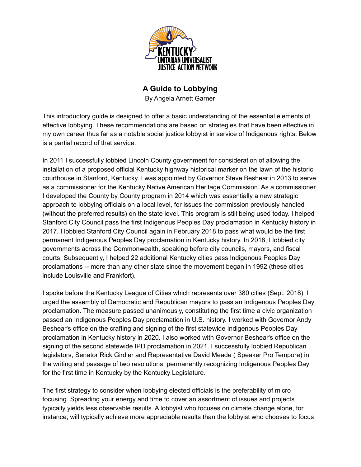

## **A Guide to Lobbying**

By Angela Arnett Garner

This introductory guide is designed to offer a basic understanding of the essential elements of effective lobbying. These recommendations are based on strategies that have been effective in my own career thus far as a notable social justice lobbyist in service of Indigenous rights. Below is a partial record of that service.

In 2011 I successfully lobbied Lincoln County government for consideration of allowing the installation of a proposed official Kentucky highway historical marker on the lawn of the historic courthouse in Stanford, Kentucky. I was appointed by Governor Steve Beshear in 2013 to serve as a commissioner for the Kentucky Native American Heritage Commission. As a commissioner I developed the County by County program in 2014 which was essentially a new strategic approach to lobbying officials on a local level, for issues the commission previously handled (without the preferred results) on the state level. This program is still being used today. I helped Stanford City Council pass the first Indigenous Peoples Day proclamation in Kentucky history in 2017. I lobbied Stanford City Council again in February 2018 to pass what would be the first permanent Indigenous Peoples Day proclamation in Kentucky history. In 2018, I lobbied city governments across the Commonwealth, speaking before city councils, mayors, and fiscal courts. Subsequently, I helped 22 additional Kentucky cities pass Indigenous Peoples Day proclamations -- more than any other state since the movement began in 1992 (these cities include Louisville and Frankfort).

I spoke before the Kentucky League of Cities which represents over 380 cities (Sept. 2018). I urged the assembly of Democratic and Republican mayors to pass an Indigenous Peoples Day proclamation. The measure passed unanimously, constituting the first time a civic organization passed an Indigenous Peoples Day proclamation in U.S. history. I worked with Governor Andy Beshear's office on the crafting and signing of the first statewide Indigenous Peoples Day proclamation in Kentucky history in 2020. I also worked with Governor Beshear's office on the signing of the second statewide IPD proclamation in 2021. I successfully lobbied Republican legislators, Senator Rick Girdler and Representative David Meade ( Speaker Pro Tempore) in the writing and passage of two resolutions, permanently recognizing Indigenous Peoples Day for the first time in Kentucky by the Kentucky Legislature.

The first strategy to consider when lobbying elected officials is the preferability of micro focusing. Spreading your energy and time to cover an assortment of issues and projects typically yields less observable results. A lobbyist who focuses on climate change alone, for instance, will typically achieve more appreciable results than the lobbyist who chooses to focus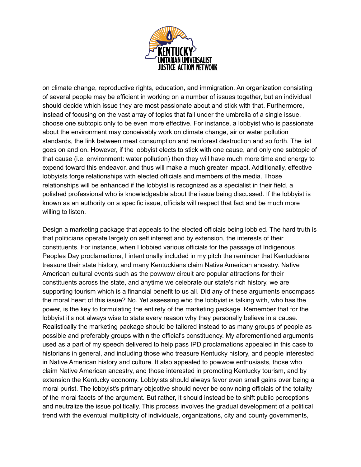

on climate change, reproductive rights, education, and immigration. An organization consisting of several people may be efficient in working on a number of issues together, but an individual should decide which issue they are most passionate about and stick with that. Furthermore, instead of focusing on the vast array of topics that fall under the umbrella of a single issue, choose one subtopic only to be even more effective. For instance, a lobbyist who is passionate about the environment may conceivably work on climate change, air or water pollution standards, the link between meat consumption and rainforest destruction and so forth. The list goes on and on. However, if the lobbyist elects to stick with one cause, and only one subtopic of that cause (i.e. environment: water pollution) then they will have much more time and energy to expend toward this endeavor, and thus will make a much greater impact. Additionally, effective lobbyists forge relationships with elected officials and members of the media. Those relationships will be enhanced if the lobbyist is recognized as a specialist in their field, a polished professional who is knowledgeable about the issue being discussed. If the lobbyist is known as an authority on a specific issue, officials will respect that fact and be much more willing to listen.

Design a marketing package that appeals to the elected officials being lobbied. The hard truth is that politicians operate largely on self interest and by extension, the interests of their constituents. For instance, when I lobbied various officials for the passage of Indigenous Peoples Day proclamations, I intentionally included in my pitch the reminder that Kentuckians treasure their state history, and many Kentuckians claim Native American ancestry. Native American cultural events such as the powwow circuit are popular attractions for their constituents across the state, and anytime we celebrate our state's rich history, we are supporting tourism which is a financial benefit to us all. Did any of these arguments encompass the moral heart of this issue? No. Yet assessing who the lobbyist is talking with, who has the power, is the key to formulating the entirety of the marketing package. Remember that for the lobbyist it's not always wise to state every reason why they personally believe in a cause. Realistically the marketing package should be tailored instead to as many groups of people as possible and preferably groups within the official's constituency. My aforementioned arguments used as a part of my speech delivered to help pass IPD proclamations appealed in this case to historians in general, and including those who treasure Kentucky history, and people interested in Native American history and culture. It also appealed to powwow enthusiasts, those who claim Native American ancestry, and those interested in promoting Kentucky tourism, and by extension the Kentucky economy. Lobbyists should always favor even small gains over being a moral purist. The lobbyist's primary objective should never be convincing officials of the totality of the moral facets of the argument. But rather, it should instead be to shift public perceptions and neutralize the issue politically. This process involves the gradual development of a political trend with the eventual multiplicity of individuals, organizations, city and county governments,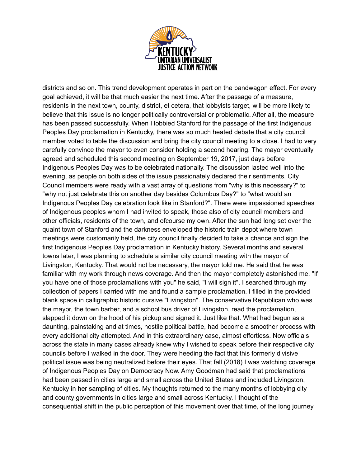

districts and so on. This trend development operates in part on the bandwagon effect. For every goal achieved, it will be that much easier the next time. After the passage of a measure, residents in the next town, county, district, et cetera, that lobbyists target, will be more likely to believe that this issue is no longer politically controversial or problematic. After all, the measure has been passed successfully. When I lobbied Stanford for the passage of the first Indigenous Peoples Day proclamation in Kentucky, there was so much heated debate that a city council member voted to table the discussion and bring the city council meeting to a close. I had to very carefully convince the mayor to even consider holding a second hearing. The mayor eventually agreed and scheduled this second meeting on September 19, 2017, just days before Indigenous Peoples Day was to be celebrated nationally. The discussion lasted well into the evening, as people on both sides of the issue passionately declared their sentiments. City Council members were ready with a vast array of questions from "why is this necessary?" to "why not just celebrate this on another day besides Columbus Day?" to "what would an Indigenous Peoples Day celebration look like in Stanford?". There were impassioned speeches of Indigenous peoples whom I had invited to speak, those also of city council members and other officials, residents of the town, and ofcourse my own. After the sun had long set over the quaint town of Stanford and the darkness enveloped the historic train depot where town meetings were customarily held, the city council finally decided to take a chance and sign the first Indigenous Peoples Day proclamation in Kentucky history. Several months and several towns later, I was planning to schedule a similar city council meeting with the mayor of Livingston, Kentucky. That would not be necessary, the mayor told me. He said that he was familiar with my work through news coverage. And then the mayor completely astonished me. "If you have one of those proclamations with you" he said, "I will sign it". I searched through my collection of papers I carried with me and found a sample proclamation. I filled in the provided blank space in calligraphic historic cursive "Livingston". The conservative Republican who was the mayor, the town barber, and a school bus driver of Livingston, read the proclamation, slapped it down on the hood of his pickup and signed it. Just like that. What had begun as a daunting, painstaking and at times, hostile political battle, had become a smoother process with every additional city attempted. And in this extraordinary case, almost effortless. Now officials across the state in many cases already knew why I wished to speak before their respective city councils before I walked in the door. They were heeding the fact that this formerly divisive political issue was being neutralized before their eyes. That fall (2018) I was watching coverage of Indigenous Peoples Day on Democracy Now. Amy Goodman had said that proclamations had been passed in cities large and small across the United States and included Livingston, Kentucky in her sampling of cities. My thoughts returned to the many months of lobbying city and county governments in cities large and small across Kentucky. I thought of the consequential shift in the public perception of this movement over that time, of the long journey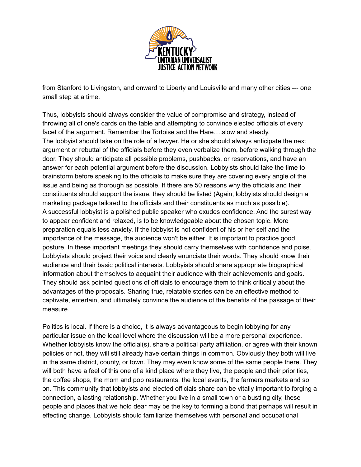

from Stanford to Livingston, and onward to Liberty and Louisville and many other cities --- one small step at a time.

Thus, lobbyists should always consider the value of compromise and strategy, instead of throwing all of one's cards on the table and attempting to convince elected officials of every facet of the argument. Remember the Tortoise and the Hare….slow and steady. The lobbyist should take on the role of a lawyer. He or she should always anticipate the next argument or rebuttal of the officials before they even verbalize them, before walking through the door. They should anticipate all possible problems, pushbacks, or reservations, and have an answer for each potential argument before the discussion. Lobbyists should take the time to brainstorm before speaking to the officials to make sure they are covering every angle of the issue and being as thorough as possible. If there are 50 reasons why the officials and their constituents should support the issue, they should be listed (Again, lobbyists should design a marketing package tailored to the officials and their constituents as much as possible). A successful lobbyist is a polished public speaker who exudes confidence. And the surest way to appear confident and relaxed, is to be knowledgeable about the chosen topic. More preparation equals less anxiety. If the lobbyist is not confident of his or her self and the importance of the message, the audience won't be either. It is important to practice good posture. In these important meetings they should carry themselves with confidence and poise. Lobbyists should project their voice and clearly enunciate their words. They should know their audience and their basic political interests. Lobbyists should share appropriate biographical information about themselves to acquaint their audience with their achievements and goals. They should ask pointed questions of officials to encourage them to think critically about the advantages of the proposals. Sharing true, relatable stories can be an effective method to captivate, entertain, and ultimately convince the audience of the benefits of the passage of their measure.

Politics is local. If there is a choice, it is always advantageous to begin lobbying for any particular issue on the local level where the discussion will be a more personal experience. Whether lobbyists know the official(s), share a political party affiliation, or agree with their known policies or not, they will still already have certain things in common. Obviously they both will live in the same district, county, or town. They may even know some of the same people there. They will both have a feel of this one of a kind place where they live, the people and their priorities, the coffee shops, the mom and pop restaurants, the local events, the farmers markets and so on. This community that lobbyists and elected officials share can be vitally important to forging a connection, a lasting relationship. Whether you live in a small town or a bustling city, these people and places that we hold dear may be the key to forming a bond that perhaps will result in effecting change. Lobbyists should familiarize themselves with personal and occupational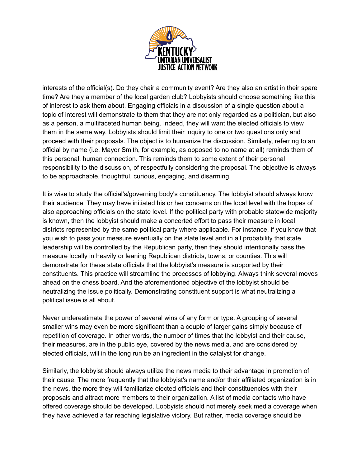

interests of the official(s). Do they chair a community event? Are they also an artist in their spare time? Are they a member of the local garden club? Lobbyists should choose something like this of interest to ask them about. Engaging officials in a discussion of a single question about a topic of interest will demonstrate to them that they are not only regarded as a politician, but also as a person, a multifaceted human being. Indeed, they will want the elected officials to view them in the same way. Lobbyists should limit their inquiry to one or two questions only and proceed with their proposals. The object is to humanize the discussion. Similarly, referring to an official by name (i.e. Mayor Smith, for example, as opposed to no name at all) reminds them of this personal, human connection. This reminds them to some extent of their personal responsibility to the discussion, of respectfully considering the proposal. The objective is always to be approachable, thoughtful, curious, engaging, and disarming.

It is wise to study the official's/governing body's constituency. The lobbyist should always know their audience. They may have initiated his or her concerns on the local level with the hopes of also approaching officials on the state level. If the political party with probable statewide majority is known, then the lobbyist should make a concerted effort to pass their measure in local districts represented by the same political party where applicable. For instance, if you know that you wish to pass your measure eventually on the state level and in all probability that state leadership will be controlled by the Republican party, then they should intentionally pass the measure locally in heavily or leaning Republican districts, towns, or counties. This will demonstrate for these state officials that the lobbyist's measure is supported by their constituents. This practice will streamline the processes of lobbying. Always think several moves ahead on the chess board. And the aforementioned objective of the lobbyist should be neutralizing the issue politically. Demonstrating constituent support is what neutralizing a political issue is all about.

Never underestimate the power of several wins of any form or type. A grouping of several smaller wins may even be more significant than a couple of larger gains simply because of repetition of coverage. In other words, the number of times that the lobbyist and their cause, their measures, are in the public eye, covered by the news media, and are considered by elected officials, will in the long run be an ingredient in the catalyst for change.

Similarly, the lobbyist should always utilize the news media to their advantage in promotion of their cause. The more frequently that the lobbyist's name and/or their affiliated organization is in the news, the more they will familiarize elected officials and their constituencies with their proposals and attract more members to their organization. A list of media contacts who have offered coverage should be developed. Lobbyists should not merely seek media coverage when they have achieved a far reaching legislative victory. But rather, media coverage should be